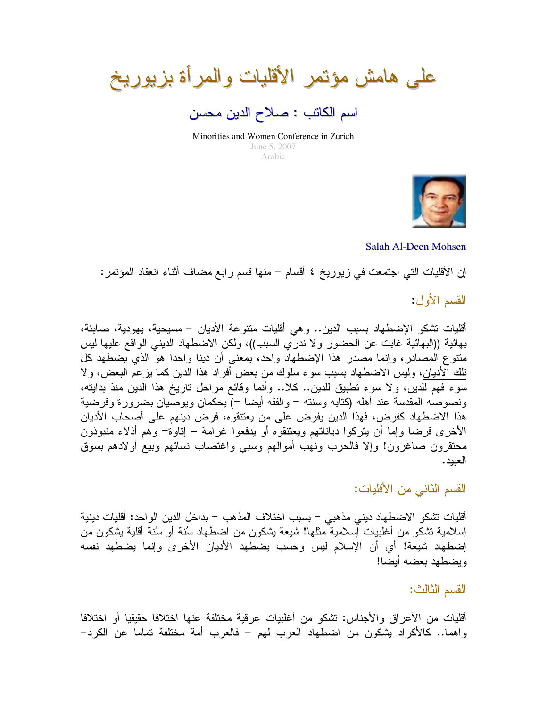على هامش مؤتمر الأقليات والمرأة بزيوريخ

اسم الكاتب : صلاح الدين محسن

Minorities and Women Conference in Zurich June 5, 2007 Arabic



Salah Al-Deen Mohsen

إن الأقليات التي اجتمعت في زيوريخ ٤ أقسام – منها قسم رابع مضاف أثناء انعقاد المؤتمر:

القسم الأول:

أقليات تشكو الإضطهاد بسبب الدين.. و هي أقليات منتو عة الأديان – مسيحية، يهو دية، صابئة، بهائية ((البهائية غابت عن الحضور ولا ندري السبب))، ولكن الاضطهاد الديني الواقع عليها ليس منتوع المصادر، وإنما مصدر هذا الإضطهاد واحد، بمعنى أن دينا واحدا هو الذي يضطهد كل <u>ناك آلأديان</u>، وليس الاضطهاد بسبب سوء سلوك من بعض أفراد هذا الدين كما يزعم البعض، ولا سوء فهم للدين، ولا سوء نطبيق للدين.. كلا.. وأنما وقائع مراحل ناريخ هذا الدين منذ بدايته، ونصوصه المقدسة عند أهله (كتابه وسنته – والفقه أيضا –) يحكمان ويوصِّيان بضرورة وفرضية هذا الاضطهاد كفرض، فهذا الدين يفرض على من يعتنقوه، فرض دينهم على أصحاب الأديان الأخرى فرضا وإما أن بنركوا دياناتهم ويعتنقوه أو يدفعوا غرامة – إناوة– وهم أذلاء منبوذون محتقرون صاغرون! وإلا فالحرب ونهب أموالهم وسببي واغتصاب نسائهم وبيع أولادهم بسوق العبيد.

القسم الثاني من الأقليات:

أقليات تشكو الاضطهاد ديني مذهبي – بسبب اختلاف المذهب – بداخل الدين الواحد: أقليات دينية إسلامية نشكو من أغلبيات إسلامية مثلها! شيعة بشكون من اضطهاد سُنة أو سُنة أقلية بشكون من إضطهاد شيعة! أي أن الإسلام ليس وحسب يضطهد الأديان الأخرى وإنما يضطهد نفسه وبضطهد بعضه أبضا!

القسم الثالث:

أقليات من الأعراق والأجناس: تشكو من أغلبيات عرقية مختلفة عنها اختلافا حقيقيا أو اختلافا واهما.. كالأكراد يشكون من اضطهاد العرب لمهم – فالعرب أمة مختلفة تماما عن الكرد–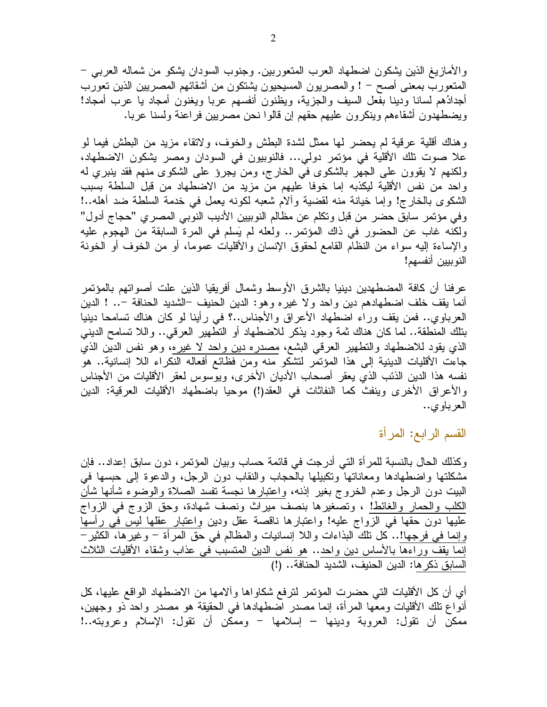والأمازيغ الذين يشكون اضطهاد العرب المتعوربين. وجنوب السودان يشكو من شماله العرببي – المتعورب بمعنى أصح – ! والمصريون المسيحيون يشتكون من أشقائهم المصريين الذين تعورب أجدادُهم لسانا ودينا بفعل السيف والجزية، ويظنون أنفسهم عربا ويغنون أمجاد يا عرب أمجاد! ويضطهدون اشقاءهم وينكرون عليهم حقهم إن قالوا نحن مصريين فراعنة ولسنا عربا.

وهناك أقلية عرقية لم يحضر لها ممثل لشدة البطش والخوف، ولاتقاء مزيد من البطش فيما لو علا صوت نلك الأقلية في مؤتمر دولي... فالنوبيون في السودان ومصر يشكون الاضطهاد، ولكنهم لا يقوون على الجهر بالشكوى في الخارج، ومن يجرؤ على الشكوى منهم فقد بنبرى له واحد من نفس الأقلية ليكذبه إما خوفا عليهم من مزيد من الاضطهاد من قبل السلطة بسبب الشكوى بالخارج! وإما خيانة منه لقضية وألام شعبه لكونه يعمل في خدمة السلطة ضد أهله..! وفي مؤتمر سابق حضر من قبل وتكلَّم عن مظالم النوبيين الأديب النوبي المصري "حجاج أدول" ولكنه غاب عن الحضور في ذاك المؤتمر.. ولعله لم يَسلم في المرة السابقة من الهجوم عليه والإساءة إليه سواء من النظام القامع لحقوق الإنسان والأقليات عموما، أو من الخوف أو الخونة النو ببين أنفسهم!

عرفنا أن كافة المضطهدين دينيا بالشرق الأوسط وشمال أفريقيا الذين علت أصواتهم بالمؤتمر أنما يقف خلف اضطهادهم دين واحد ولا غيره وهو: الدين الحنيف –الشديد الحنافة –.. ! الدين العرباوي.. فمن يقف وراء اضطهاد الأعراق والأجناس..؟ في رأينا لو كان هناك نسامحا دينيا بتلك المنطقة.. لما كان هناك ثمة وجود يذكر للاضطهاد أو النطهير العرقبي.. واللا نسامح الدينبي الذي يقود للاضطهاد والتطهير العرقي البشع، <u>مصدره دين واحد لا غيره</u>، وهو نفس الدين الذي جاءت الأقليات الدينية إلى هذا المؤتمر لتشكو منه ومن فظائع أفعاله النكراء اللا إنسانية.. هو نفسه هذا الدين الذئب الذي يعقر أصحاب الأديان الأخرى، ويوسوس لعقر الأقليات من الأجناس والأعراق الأخرى وينفث كما النفاثات في العقد(!) موحيا باضطهاد الأقليات العرقية: الدين العرباوي..

القسم الرابع: المرأة

وكذلك الحال بالنسبة للمر أة التي أدرجت في قائمة حساب وبيان المؤتمر ، دون سابق إعداد.. فإن مشكلتها واضطهادها ومعاناتها ونكبيلها بالحجاب والنقاب دون الرجل، والدعوة إلى حبسها في البيت دون الرجل وعدم الخروج بغير إذنه، واعتبارها نجسة تفسد الصلاة والوضوء شأنها شأن الكلب والحمار والغائط! ، وتصغيرها بنصف ميراث ونصف شهادة، وحق الزوج في الزواج عليها دون حقها في الزواج عليه! واعتبارها ناقصة عقل ودين <u>واعتبار عقلها ليس في رأسها</u> وإنما في فرجها!.. كل نلك البذاءات واللا إنسانيات والمظالم في حق المرأة – وغيرها، الكثير – إنما يقف وراءها بالأساس دين واحد.. هو نفس الدين المتسبب في عذاب وشقاء الأقليات الثلاث السابق ذكر ها: الدين الحنيف، الشديد الحنافة.. (!)

أي أن كل الأقليات التي حضرت المؤتمر لترفع شكاواها وألامها من الاضطهاد الواقع عليها، كل أنواع تلك الأقليات ومعها المرأة، إنما مصدر اضطهادها في الحقيقة هو مصدر واحد ذو وجهين، ممكن أن نقول: العروبة ودينها – إسلامها – وممكن أن نقول: الإسلام وعروبته..!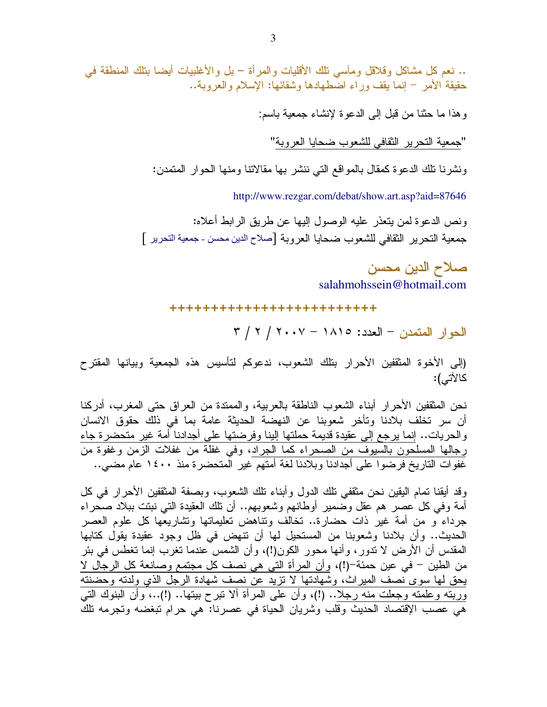.. نعم كل مشاكل وقلاقل ومأسى نلك الأقليات والمرأة – بل والأغلبيات أيضا بنلك المنطقة في حقيقة الأمر – إنما يقف وراء اضطهادها وشقائها: الإسلام والعروبة..

وهذا ما حثنا من قبل إلى الدعوة لإنشاء جمعية باسم:

"جمعية التحرير الثقافي للشعوب ضحايا العروبة"

ونشرنا نلك الدعوة كمقال بالمواقع التي ننشر بها مقالاتنا ومنها الحوار المتمدن:

http://www.rezgar.com/debat/show.art.asp?aid=87646

ونص الدعو ة لمن يتعذر ً عليه الوصول إليها عن طريق الر ابط أعلاه: جمعية التحرير الثقافي للشعوب ضحايا العروبة [صلاح الدين محسن ـ جمعية التحرير ]

> صلاح الدين محسن salahmohssein@hotmail.com

+++++++++++++++++++++++++

الحوار المتمدن - العدد: ١٨١٥ - ٢٠٠٧ / ٢ / ٣

(إلى الأخوة المثقفين الأحرار بنلك الشعوب، ندعوكم لتأسيس هذه الجمعية وبيانها المقترح كالآتي):

نحن المثقفين الأحرار أبناء الشعوب الناطقة بالعربية، والممندة من العراق حتى المغرب، أدركنا أن سر تخلف بلادنا وتأخر شعوبنا عن النهضة الحديثة عامة بما في ذلك حقوق الانسان والحريات.. إنما يرجع إلى عقيدة قديمة حملتها إلينا وفرضتها على أجدادنا أمة غير متحضرة جاء <u>رجالها المسلحون بالسيوف من الصحراء كما الجراد</u>، وفي غفلة من غفلات الزمن وغفوة من غفوات التاريخ فرضوا على أجدادنا وبلادنا لغة أمتهم غير المتحضرة منذ ١٤٠٠ عام مضبي..

وقد أيقنا تمام اليقين نحن مثقفي تلك الدول وأبناء نلك الشعوب، وبصفة المثقفين الأحرار في كل أمة وفي كل عصر هم عقل وضمير أوطانـهم وشعوبـهم.. أن نلك العقيدة التي نبتت ببلاد صـحراء جرداء و من أمة غير ذات حضارة.. نخالف ونناهض نعليمانها ونشاريعها كل علوم العصر الحديث.. وأن بلادنا وشعوبنا من المستحيل لمها أن نتهض في ظل وجود عقيدة يقول كتابها المقدس أن الأرض لا ندور ، وأنها محور الكون(!)، وأن الشمس عندما نغرب إنما نغطس في بئر من الطين – في عين حمئة–(!)، وأن المرأة التي هي نصف كل مجتمع وصانعة كل الرجال لا يحق لها سوى نصف الميراث، وشهادتها لا نزيد عن نصف شهادة الرجل الذي ولدته وحضنته وربنه وعلمته وجعلت منه رجلا.. (!)، وأن على المرأة ألا نبرح بيتها.. (!)..، وأن البنوك التي هي عصب الإقتصاد الحديث وقلب وشريان الحياة في عصرنا: هي حرام تبغضه وتجرمه تلك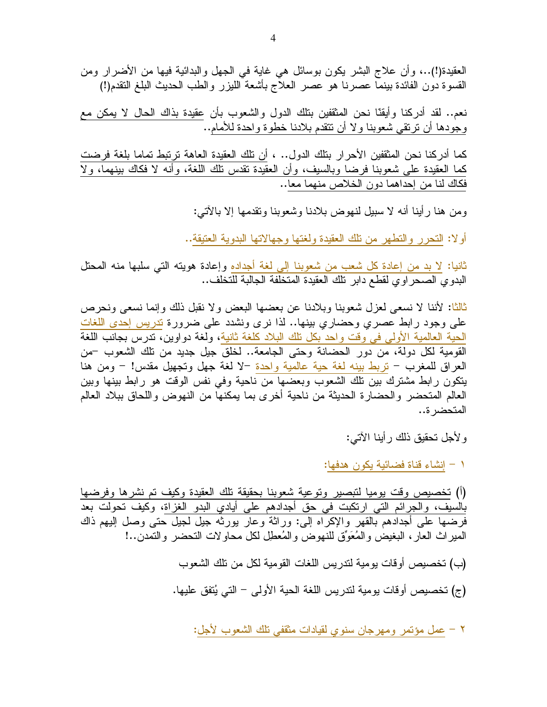نعم.. لقد أدرِكنا وأيقنَّا نحن المثقفين بنلك الدول والشعوب بأن عقيدة بذاك الحال لا يمكن مع وجودها أن نرتقي شعوبنا ولا أن نتقدم بلادنا خطوة واحدة للأمام..

كما أدركنا نحن المثقفين الأحرار بنلك الدول.. ، أن نلك العقيدة العاهة ترتبط تماما بلغة فرضت كما العقيدة على شعوبنا فرضا وبالسيف، وأن العقيدة نقدس نلك اللغة، وأنه لا فكاك بينهما، ولا فكاك لنا من إحداهما دون الخلاص منهما معا..

و من هنا ر أينا أنه لا سبيل لنهو ض بلادنا وشعوبنا وتقدمها إلا بالآتي:

أولا: النحرر والنطهر من نلك العقيدة ولغتها وجهالاتها البدوية العتيقة..

ثانيا: لا بد من إعادة كل شعب من شعوبنا إلى لغة أجداده وإعادة هويته التي سلبها منه المحتل البدوى الصحر اوى لقطع دابر تلك العقيدة المتخلفة الجالبة للتخلف..

ثالثًا: لأننا لا نسعي لعزل شعوبنا وبلادنا عن بعضها البعض ولا نقبل ذلك وإنما نسعى ونحرص على وجود رابط عصري وحضاري بينها.. لذا نرى ونشدد على ضرورة تدريس إحدى اللغات الحية العالمية الأولى في وقت واحد بكل تلك البلاد كلغة ثانية، ولغة دولوين، ندرس بجانب اللغة القومية لكل دولة، من دور الحضانة وحتى الجامعة.. لخلق جيل جديد من نلك الشعوب –من العراق للمغرب – نربط بينه لغة حية عالمية واحدة –لا لغة جهل ونجهيل مقدس! – ومن هنا ينكون رابط مشترك بين تلك الشعوب وبعضها من ناحية وفى نفس الوقت هو رابط بينها وبين العالم المتحضر والحضارة الحديثة من ناحية أخرى بما يمكنها من النهوض واللحاق ببلاد العالم المتحضر ة..

و لأجل تحقيق ذلك ر أينا الآتي:

١ – إنشاء قناة فضائية يكون هدفها:

(أ) تخصيص وقت يوميا لتبصير وتوعية شعوبنا بحقيقة تلك العقيدة وكيف تم نشرها وفرضها بالسيف، والجرائم التي ارتكبت في حق أجدادهم على أيادي البدو الغزاة، وكيف تحولت بعد فرضـها علـي أجدادهم بالقهر والإكراه إلـي: وراثة وعار بورثه جيل لـجيل حتـي وصل إليهم ذاك المير اث العار ، البغيض و المُعَوِّق للنهو ض و المُعطِل لكل محاوٍ لات التحضر و النمدن..!

(ب) تخصيص أوقات يومية لتدريس اللغات القومية لكل من تلك الشعوب

(ج) تخصيص أوقات يومية لتدريس اللغة الحية الأولى – التي يُتفق عليها.

٢ – عمل مؤتمر ومهرجان سنوي لقيادات مثقفي نلك الشعوب لأجل: